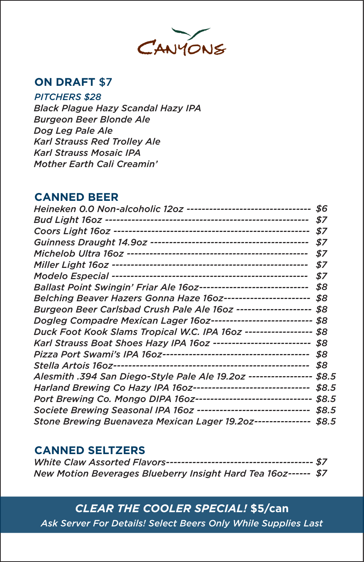

## **ON DRAFT** \$7

*PITCHERS \$28*

 *Black Plague Hazy Scandal Hazy IPA Burgeon Beer Blonde Ale Dog Leg Pale Ale Karl Strauss Red Trolley Ale Karl Strauss Mosaic IPA Mother Earth Cali Creamin'*

## **CANNED BEER**

| Heineken 0.0 Non-alcoholic 12oz --------------------------------- \$6                              |       |
|----------------------------------------------------------------------------------------------------|-------|
|                                                                                                    | - \$7 |
|                                                                                                    | \$7   |
|                                                                                                    | \$7   |
|                                                                                                    | \$7   |
|                                                                                                    | \$7   |
|                                                                                                    |       |
| Ballast Point Swingin' Friar Ale 160z----------------------------- \$8                             |       |
| Belching Beaver Hazers Gonna Haze                         16oz------------------------ \$8         |       |
| Burgeon Beer Carlsbad Crush Pale Ale 160z -------------------- \$8                                 |       |
| Dogleg        Compadre        Mexican        Lager        16oz-------------------------        \$8 |       |
| Duck Foot Kook Slams Tropical W.C. IPA 160z ------------------ \$8                                 |       |
| Karl Strauss Boat Shoes Hazy IPA 160z -------------------------- \$8                               |       |
|                                                                                                    |       |
|                                                                                                    |       |
| Alesmith .394 San Diego-Style Pale Ale 19.202 ----------------- \$8.5                              |       |
| Harland Brewing Co Hazy IPA 160z------------------------------- \$8.5                              |       |
| Port Brewing Co. Mongo DIPA 160z------------------------------- \$8.5                              |       |
| Societe Brewing Seasonal IPA 160z ------------------------------ \$8.5                             |       |
| Stone Brewing Buenaveza Mexican Lager 19.20z--------------- \$8.5                                  |       |
|                                                                                                    |       |

#### **CANNED SELTZERS**

| New Motion Beverages Blueberry Insight Hard Tea 160z------ \$7 |  |
|----------------------------------------------------------------|--|

# *CLEAR THE COOLER SPECIAL!* **\$5/can**

*Ask Server For Details! Select Beers Only While Supplies Last*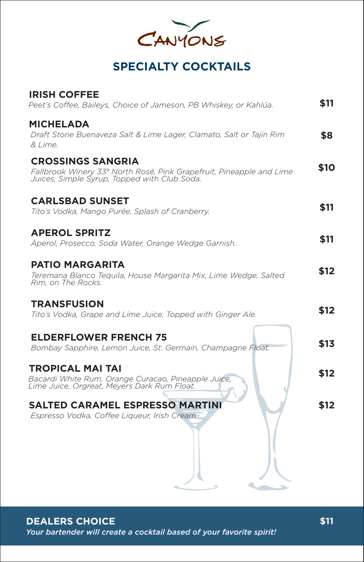| CANYONS |  |
|---------|--|

# **SPECIALTY COCKTAILS**

| <b>IRISH COFFEE</b><br>Peet's Coffee, Baileys, Choice of Jameson, PB Whiskey, or Kahlúa.                                                         | \$11 |
|--------------------------------------------------------------------------------------------------------------------------------------------------|------|
| <b>MICHELADA</b><br>Draft Stone Buenaveza Salt & Lime Lager, Clamato, Salt or Taiin Rim<br>& Lime.                                               | \$8  |
| <b>CROSSINGS SANGRIA</b><br>Fallbrook Winery 33° North Rosé, Pink Grapefruit, Pineapple and Lime<br>Juices, Simple Syrup, Topped with Club Soda. | \$10 |
| <b>CARLSBAD SUNSET</b><br>Tito's Vodka, Mango Purée, Splash of Cranberry.                                                                        | \$11 |
| <b>APEROL SPRITZ</b><br>Aperol, Prosecco, Soda Water, Orange Wedge Garnish.                                                                      | \$11 |
| <b>PATIO MARGARITA</b><br>Teremana Blanco Teguila, House Margarita Mix, Lime Wedge, Salted<br>Rim. on The Rocks.                                 | \$12 |
| <b>TRANSFUSION</b><br>Tito's Vodka, Grape and Lime Juice, Topped with Ginger Ale.                                                                | \$12 |
| <b>ELDERFLOWER FRENCH 75</b><br>Bombay Sapphire, Lemon Juice, St. Germain, Champagne Float.                                                      | \$13 |
| <b>TROPICAL MAI TAI</b><br>Bacardi White Rum, Orange Curacao, Pineapple Juice,<br>Lime Juice, Orgreat, Meyers Dark Rum Float.                    | \$12 |
| <b>SALTED CARAMEL ESPRESSO MARTINI</b><br>Espresso Vodka, Coffee Liqueur, Irish Cream                                                            | \$12 |
|                                                                                                                                                  |      |

**DEALERS CHOICE** *Your bartender will create a cocktail based of your favorite spirit!*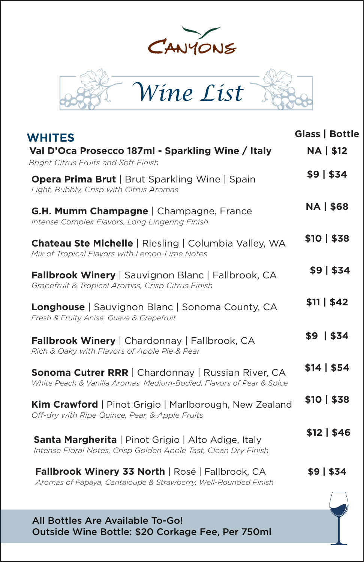



| <b>WHITES</b>                                                                                                                     | Glass   Bottle   |
|-----------------------------------------------------------------------------------------------------------------------------------|------------------|
| Val D'Oca Prosecco 187ml - Sparkling Wine / Italy<br>Bright Citrus Fruits and Soft Finish                                         | <b>NA   \$12</b> |
| <b>Opera Prima Brut</b>   Brut Sparkling Wine   Spain<br>Light, Bubbly, Crisp with Citrus Aromas                                  | \$9   \$34       |
| <b>G.H. Mumm Champagne</b>   Champagne, France<br>Intense Complex Flavors, Long Lingering Finish                                  | <b>NA   \$68</b> |
| <b>Chateau Ste Michelle</b>   Riesling   Columbia Valley, WA<br>Mix of Tropical Flavors with Lemon-Lime Notes                     | \$10   \$38      |
| <b>Fallbrook Winery</b>   Sauvignon Blanc   Fallbrook, CA<br>Grapefruit & Tropical Aromas, Crisp Citrus Finish                    | \$9   \$34       |
| Longhouse   Sauvignon Blanc   Sonoma County, CA<br>Fresh & Fruity Anise, Guava & Grapefruit                                       | \$11   \$42      |
| <b>Fallbrook Winery</b>   Chardonnay   Fallbrook, CA<br>Rich & Oaky with Flavors of Apple Pie & Pear                              | $$9$   \$34      |
| <b>Sonoma Cutrer RRR</b>   Chardonnay   Russian River, CA<br>White Peach & Vanilla Aromas, Medium-Bodied, Flavors of Pear & Spice | \$14   \$54      |
| <b>Kim Crawford</b>   Pinot Grigio   Marlborough, New Zealand<br>Off-dry with Ripe Quince, Pear, & Apple Fruits                   | \$10   \$38      |
| Santa Margherita   Pinot Grigio   Alto Adige, Italy<br>Intense Floral Notes, Crisp Golden Apple Tast, Clean Dry Finish            | \$12   \$46      |
| Fallbrook Winery 33 North   Rosé   Fallbrook, CA<br>Aromas of Papaya, Cantaloupe & Strawberry, Well-Rounded Finish                | \$9 \$34         |
|                                                                                                                                   |                  |